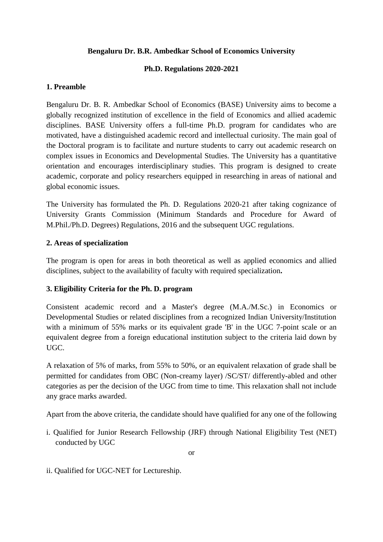### **Bengaluru Dr. B.R. Ambedkar School of Economics University**

### **Ph.D. Regulations 2020-2021**

### **1. Preamble**

Bengaluru Dr. B. R. Ambedkar School of Economics (BASE) University aims to become a globally recognized institution of excellence in the field of Economics and allied academic disciplines. BASE University offers a full-time Ph.D. program for candidates who are motivated, have a distinguished academic record and intellectual curiosity. The main goal of the Doctoral program is to facilitate and nurture students to carry out academic research on complex issues in Economics and Developmental Studies. The University has a quantitative orientation and encourages interdisciplinary studies. This program is designed to create academic, corporate and policy researchers equipped in researching in areas of national and global economic issues.

The University has formulated the Ph. D. Regulations 2020-21 after taking cognizance of University Grants Commission (Minimum Standards and Procedure for Award of M.Phil./Ph.D. Degrees) Regulations, 2016 and the subsequent UGC regulations.

### **2. Areas of specialization**

The program is open for areas in both theoretical as well as applied economics and allied disciplines, subject to the availability of faculty with required specialization**.** 

# **3. Eligibility Criteria for the Ph. D. program**

Consistent academic record and a Master's degree (M.A./M.Sc.) in Economics or Developmental Studies or related disciplines from a recognized Indian University/Institution with a minimum of 55% marks or its equivalent grade 'B' in the UGC 7-point scale or an equivalent degree from a foreign educational institution subject to the criteria laid down by UGC.

A relaxation of 5% of marks, from 55% to 50%, or an equivalent relaxation of grade shall be permitted for candidates from OBC (Non-creamy layer) /SC/ST/ differently-abled and other categories as per the decision of the UGC from time to time. This relaxation shall not include any grace marks awarded.

Apart from the above criteria, the candidate should have qualified for any one of the following

i. Qualified for Junior Research Fellowship (JRF) through National Eligibility Test (NET) conducted by UGC

ii. Qualified for UGC-NET for Lectureship.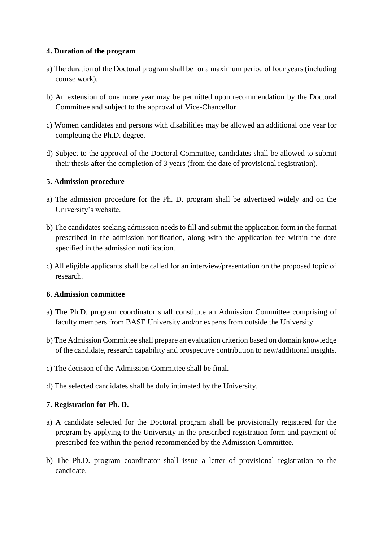# **4. Duration of the program**

- a) The duration of the Doctoral program shall be for a maximum period of four years (including course work).
- b) An extension of one more year may be permitted upon recommendation by the Doctoral Committee and subject to the approval of Vice-Chancellor
- c) Women candidates and persons with disabilities may be allowed an additional one year for completing the Ph.D. degree.
- d) Subject to the approval of the Doctoral Committee, candidates shall be allowed to submit their thesis after the completion of 3 years (from the date of provisional registration).

# **5. Admission procedure**

- a) The admission procedure for the Ph. D. program shall be advertised widely and on the University's website.
- b) The candidates seeking admission needs to fill and submit the application form in the format prescribed in the admission notification, along with the application fee within the date specified in the admission notification.
- c) All eligible applicants shall be called for an interview/presentation on the proposed topic of research.

# **6. Admission committee**

- a) The Ph.D. program coordinator shall constitute an Admission Committee comprising of faculty members from BASE University and/or experts from outside the University
- b) The Admission Committee shall prepare an evaluation criterion based on domain knowledge of the candidate, research capability and prospective contribution to new/additional insights.
- c) The decision of the Admission Committee shall be final.
- d) The selected candidates shall be duly intimated by the University.

# **7. Registration for Ph. D.**

- a) A candidate selected for the Doctoral program shall be provisionally registered for the program by applying to the University in the prescribed registration form and payment of prescribed fee within the period recommended by the Admission Committee.
- b) The Ph.D. program coordinator shall issue a letter of provisional registration to the candidate.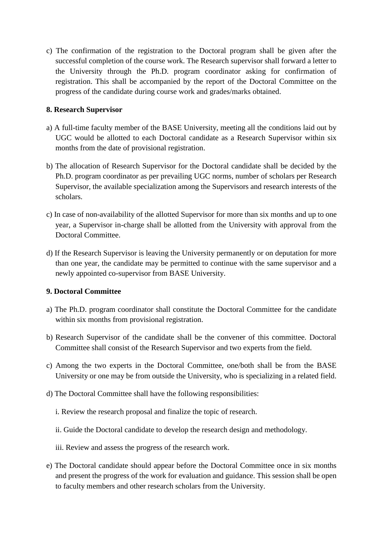c) The confirmation of the registration to the Doctoral program shall be given after the successful completion of the course work. The Research supervisor shall forward a letter to the University through the Ph.D. program coordinator asking for confirmation of registration. This shall be accompanied by the report of the Doctoral Committee on the progress of the candidate during course work and grades/marks obtained.

# **8. Research Supervisor**

- a) A full-time faculty member of the BASE University, meeting all the conditions laid out by UGC would be allotted to each Doctoral candidate as a Research Supervisor within six months from the date of provisional registration.
- b) The allocation of Research Supervisor for the Doctoral candidate shall be decided by the Ph.D. program coordinator as per prevailing UGC norms, number of scholars per Research Supervisor, the available specialization among the Supervisors and research interests of the scholars.
- c) In case of non-availability of the allotted Supervisor for more than six months and up to one year, a Supervisor in-charge shall be allotted from the University with approval from the Doctoral Committee.
- d) If the Research Supervisor is leaving the University permanently or on deputation for more than one year, the candidate may be permitted to continue with the same supervisor and a newly appointed co-supervisor from BASE University.

# **9. Doctoral Committee**

- a) The Ph.D. program coordinator shall constitute the Doctoral Committee for the candidate within six months from provisional registration.
- b) Research Supervisor of the candidate shall be the convener of this committee. Doctoral Committee shall consist of the Research Supervisor and two experts from the field.
- c) Among the two experts in the Doctoral Committee, one/both shall be from the BASE University or one may be from outside the University, who is specializing in a related field.
- d) The Doctoral Committee shall have the following responsibilities:
	- i. Review the research proposal and finalize the topic of research.
	- ii. Guide the Doctoral candidate to develop the research design and methodology.
	- iii. Review and assess the progress of the research work.
- e) The Doctoral candidate should appear before the Doctoral Committee once in six months and present the progress of the work for evaluation and guidance. This session shall be open to faculty members and other research scholars from the University.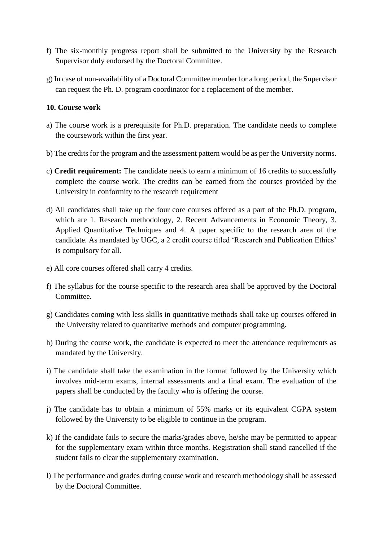- f) The six-monthly progress report shall be submitted to the University by the Research Supervisor duly endorsed by the Doctoral Committee.
- g) In case of non-availability of a Doctoral Committee member for a long period, the Supervisor can request the Ph. D. program coordinator for a replacement of the member.

#### **10. Course work**

- a) The course work is a prerequisite for Ph.D. preparation. The candidate needs to complete the coursework within the first year.
- b) The credits for the program and the assessment pattern would be as per the University norms.
- c) **Credit requirement:** The candidate needs to earn a minimum of 16 credits to successfully complete the course work. The credits can be earned from the courses provided by the University in conformity to the research requirement
- d) All candidates shall take up the four core courses offered as a part of the Ph.D. program, which are 1. Research methodology, 2. Recent Advancements in Economic Theory, 3. Applied Quantitative Techniques and 4. A paper specific to the research area of the candidate. As mandated by UGC, a 2 credit course titled 'Research and Publication Ethics' is compulsory for all.
- e) All core courses offered shall carry 4 credits.
- f) The syllabus for the course specific to the research area shall be approved by the Doctoral Committee.
- g) Candidates coming with less skills in quantitative methods shall take up courses offered in the University related to quantitative methods and computer programming.
- h) During the course work, the candidate is expected to meet the attendance requirements as mandated by the University.
- i) The candidate shall take the examination in the format followed by the University which involves mid-term exams, internal assessments and a final exam. The evaluation of the papers shall be conducted by the faculty who is offering the course.
- j) The candidate has to obtain a minimum of 55% marks or its equivalent CGPA system followed by the University to be eligible to continue in the program.
- k) If the candidate fails to secure the marks/grades above, he/she may be permitted to appear for the supplementary exam within three months. Registration shall stand cancelled if the student fails to clear the supplementary examination.
- l) The performance and grades during course work and research methodology shall be assessed by the Doctoral Committee.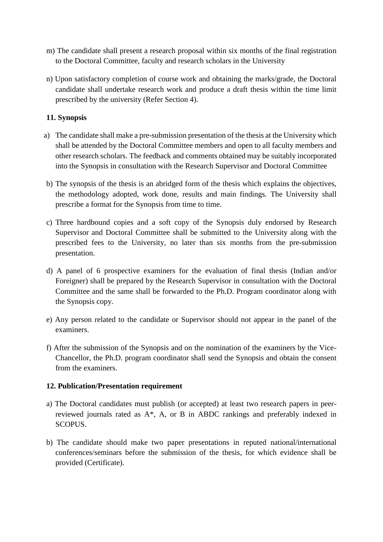- m) The candidate shall present a research proposal within six months of the final registration to the Doctoral Committee, faculty and research scholars in the University
- n) Upon satisfactory completion of course work and obtaining the marks/grade, the Doctoral candidate shall undertake research work and produce a draft thesis within the time limit prescribed by the university (Refer Section 4).

# **11. Synopsis**

- a) The candidate shall make a pre-submission presentation of the thesis at the University which shall be attended by the Doctoral Committee members and open to all faculty members and other research scholars. The feedback and comments obtained may be suitably incorporated into the Synopsis in consultation with the Research Supervisor and Doctoral Committee
- b) The synopsis of the thesis is an abridged form of the thesis which explains the objectives, the methodology adopted, work done, results and main findings. The University shall prescribe a format for the Synopsis from time to time.
- c) Three hardbound copies and a soft copy of the Synopsis duly endorsed by Research Supervisor and Doctoral Committee shall be submitted to the University along with the prescribed fees to the University, no later than six months from the pre-submission presentation.
- d) A panel of 6 prospective examiners for the evaluation of final thesis (Indian and/or Foreigner) shall be prepared by the Research Supervisor in consultation with the Doctoral Committee and the same shall be forwarded to the Ph.D. Program coordinator along with the Synopsis copy.
- e) Any person related to the candidate or Supervisor should not appear in the panel of the examiners.
- f) After the submission of the Synopsis and on the nomination of the examiners by the Vice-Chancellor, the Ph.D. program coordinator shall send the Synopsis and obtain the consent from the examiners.

#### **12. Publication/Presentation requirement**

- a) The Doctoral candidates must publish (or accepted) at least two research papers in peerreviewed journals rated as A\*, A, or B in ABDC rankings and preferably indexed in SCOPUS.
- b) The candidate should make two paper presentations in reputed national/international conferences/seminars before the submission of the thesis, for which evidence shall be provided (Certificate).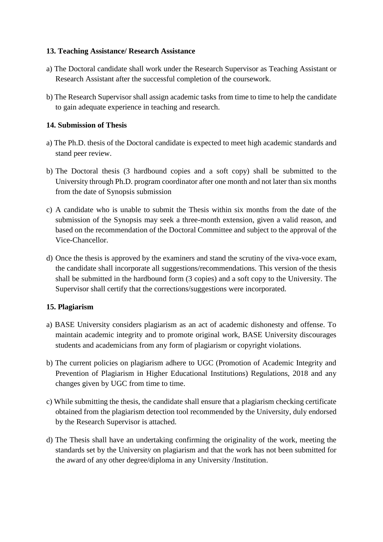# **13. Teaching Assistance/ Research Assistance**

- a) The Doctoral candidate shall work under the Research Supervisor as Teaching Assistant or Research Assistant after the successful completion of the coursework.
- b) The Research Supervisor shall assign academic tasks from time to time to help the candidate to gain adequate experience in teaching and research.

# **14. Submission of Thesis**

- a) The Ph.D. thesis of the Doctoral candidate is expected to meet high academic standards and stand peer review.
- b) The Doctoral thesis (3 hardbound copies and a soft copy) shall be submitted to the University through Ph.D. program coordinator after one month and not later than six months from the date of Synopsis submission
- c) A candidate who is unable to submit the Thesis within six months from the date of the submission of the Synopsis may seek a three-month extension, given a valid reason, and based on the recommendation of the Doctoral Committee and subject to the approval of the Vice-Chancellor.
- d) Once the thesis is approved by the examiners and stand the scrutiny of the viva-voce exam, the candidate shall incorporate all suggestions/recommendations. This version of the thesis shall be submitted in the hardbound form (3 copies) and a soft copy to the University. The Supervisor shall certify that the corrections/suggestions were incorporated.

# **15. Plagiarism**

- a) BASE University considers plagiarism as an act of academic dishonesty and offense. To maintain academic integrity and to promote original work, BASE University discourages students and academicians from any form of plagiarism or copyright violations.
- b) The current policies on plagiarism adhere to UGC (Promotion of Academic Integrity and Prevention of Plagiarism in Higher Educational Institutions) Regulations, 2018 and any changes given by UGC from time to time.
- c) While submitting the thesis, the candidate shall ensure that a plagiarism checking certificate obtained from the plagiarism detection tool recommended by the University, duly endorsed by the Research Supervisor is attached.
- d) The Thesis shall have an undertaking confirming the originality of the work, meeting the standards set by the University on plagiarism and that the work has not been submitted for the award of any other degree/diploma in any University /Institution.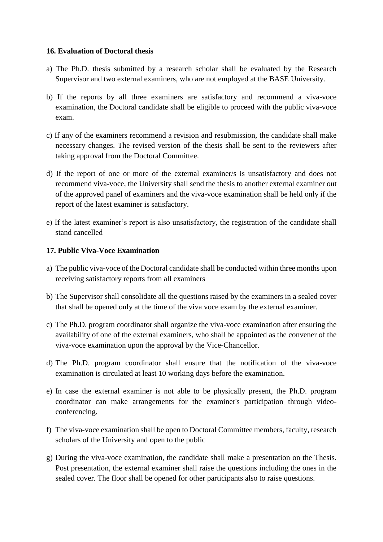### **16. Evaluation of Doctoral thesis**

- a) The Ph.D. thesis submitted by a research scholar shall be evaluated by the Research Supervisor and two external examiners, who are not employed at the BASE University.
- b) If the reports by all three examiners are satisfactory and recommend a viva-voce examination, the Doctoral candidate shall be eligible to proceed with the public viva-voce exam.
- c) If any of the examiners recommend a revision and resubmission, the candidate shall make necessary changes. The revised version of the thesis shall be sent to the reviewers after taking approval from the Doctoral Committee.
- d) If the report of one or more of the external examiner/s is unsatisfactory and does not recommend viva-voce, the University shall send the thesis to another external examiner out of the approved panel of examiners and the viva-voce examination shall be held only if the report of the latest examiner is satisfactory.
- e) If the latest examiner's report is also unsatisfactory, the registration of the candidate shall stand cancelled

### **17. Public Viva-Voce Examination**

- a) The public viva-voce of the Doctoral candidate shall be conducted within three months upon receiving satisfactory reports from all examiners
- b) The Supervisor shall consolidate all the questions raised by the examiners in a sealed cover that shall be opened only at the time of the viva voce exam by the external examiner.
- c) The Ph.D. program coordinator shall organize the viva-voce examination after ensuring the availability of one of the external examiners, who shall be appointed as the convener of the viva-voce examination upon the approval by the Vice-Chancellor.
- d) The Ph.D. program coordinator shall ensure that the notification of the viva-voce examination is circulated at least 10 working days before the examination.
- e) In case the external examiner is not able to be physically present, the Ph.D. program coordinator can make arrangements for the examiner's participation through videoconferencing.
- f) The viva-voce examination shall be open to Doctoral Committee members, faculty, research scholars of the University and open to the public
- g) During the viva-voce examination, the candidate shall make a presentation on the Thesis. Post presentation, the external examiner shall raise the questions including the ones in the sealed cover. The floor shall be opened for other participants also to raise questions.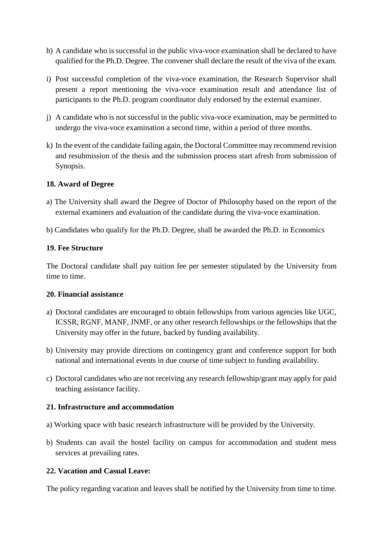- h) A candidate who is successful in the public viva-voce examination shall be declared to have qualified for the Ph.D. Degree. The convener shall declare the result of the viva of the exam.
- i) Post successful completion of the viva-voce examination, the Research Supervisor shall present a report mentioning the viva-voce examination result and attendance list of participants to the Ph.D. program coordinator duly endorsed by the external examiner.
- j) A candidate who is not successful in the public viva-voce examination, may be permitted to undergo the viva-voce examination a second time, within a period of three months.
- k) In the event of the candidate failing again, the Doctoral Committee may recommend revision and resubmission of the thesis and the submission process start afresh from submission of Synopsis.

# **18. Award of Degree**

- a) The University shall award the Degree of Doctor of Philosophy based on the report of the external examiners and evaluation of the candidate during the viva-voce examination.
- b) Candidates who qualify for the Ph.D. Degree, shall be awarded the Ph.D. in Economics

### **19. Fee Structure**

The Doctoral candidate shall pay tuition fee per semester stipulated by the University from time to time.

#### **20. Financial assistance**

- a) Doctoral candidates are encouraged to obtain fellowships from various agencies like UGC, ICSSR, RGNF, MANF, JNMF, or any other research fellowships or the fellowships that the University may offer in the future, backed by funding availability.
- b) University may provide directions on contingency grant and conference support for both national and international events in due course of time subject to funding availability.
- c) Doctoral candidates who are not receiving any research fellowship/grant may apply for paid teaching assistance facility.

#### **21. Infrastructure and accommodation**

- a) Working space with basic research infrastructure will be provided by the University.
- b) Students can avail the hostel facility on campus for accommodation and student mess services at prevailing rates.

# **22. Vacation and Casual Leave:**

The policy regarding vacation and leaves shall be notified by the University from time to time.